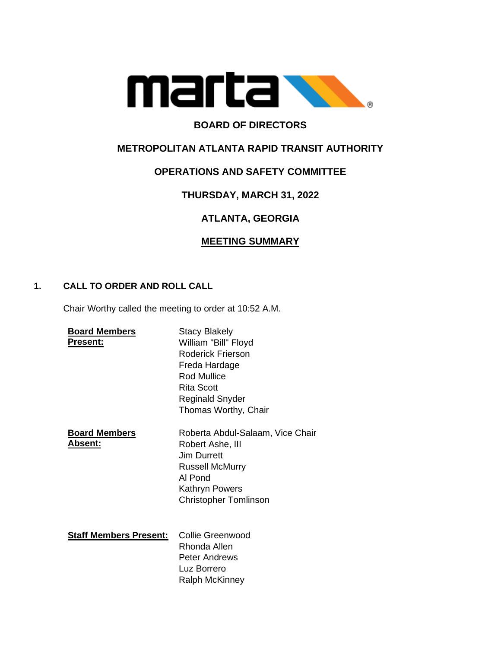

# **BOARD OF DIRECTORS**

# **METROPOLITAN ATLANTA RAPID TRANSIT AUTHORITY**

# **OPERATIONS AND SAFETY COMMITTEE**

# **THURSDAY, MARCH 31, 2022**

# **ATLANTA, GEORGIA**

# **MEETING SUMMARY**

### **1. CALL TO ORDER AND ROLL CALL**

Chair Worthy called the meeting to order at 10:52 A.M.

| <b>Board Members</b><br><b>Present:</b> | <b>Stacy Blakely</b><br>William "Bill" Floyd<br>Roderick Frierson<br>Freda Hardage<br>Rod Mullice<br>Rita Scott<br><b>Reginald Snyder</b><br>Thomas Worthy, Chair |
|-----------------------------------------|-------------------------------------------------------------------------------------------------------------------------------------------------------------------|
| <b>Board Members</b><br>Absent:         | Roberta Abdul-Salaam, Vice Chair<br>Robert Ashe, III<br>Jim Durrett<br><b>Russell McMurry</b><br>AI Pond<br>Kathryn Powers<br><b>Christopher Tomlinson</b>        |
| <b>Staff Members Present:</b>           | <b>Collie Greenwood</b><br>Rhonda Allen<br><b>Peter Andrews</b><br>Luz Borrero<br>Ralph McKinney                                                                  |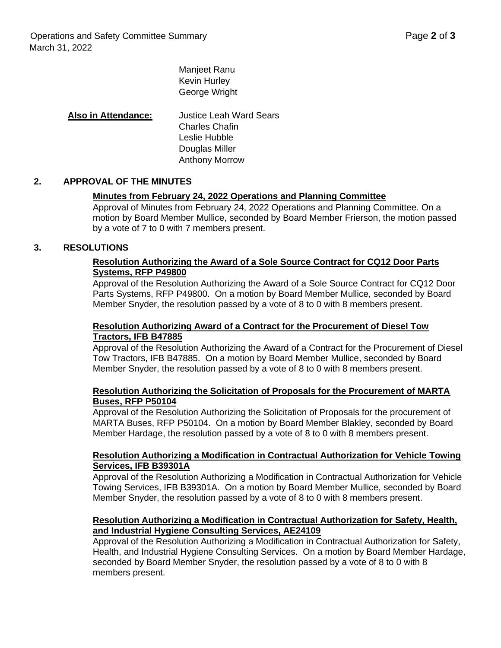Manjeet Ranu Kevin Hurley George Wright

### **Also in Attendance:** Justice Leah Ward Sears Charles Chafin Leslie Hubble Douglas Miller Anthony Morrow

#### **2. APPROVAL OF THE MINUTES**

#### **Minutes from February 24, 2022 Operations and Planning Committee**

Approval of Minutes from February 24, 2022 Operations and Planning Committee. On a motion by Board Member Mullice, seconded by Board Member Frierson, the motion passed by a vote of 7 to 0 with 7 members present.

#### **3. RESOLUTIONS**

#### **Resolution Authorizing the Award of a Sole Source Contract for CQ12 Door Parts Systems, RFP P49800**

Approval of the Resolution Authorizing the Award of a Sole Source Contract for CQ12 Door Parts Systems, RFP P49800. On a motion by Board Member Mullice, seconded by Board Member Snyder, the resolution passed by a vote of 8 to 0 with 8 members present.

#### **Resolution Authorizing Award of a Contract for the Procurement of Diesel Tow Tractors, IFB B47885**

Approval of the Resolution Authorizing the Award of a Contract for the Procurement of Diesel Tow Tractors, IFB B47885. On a motion by Board Member Mullice, seconded by Board Member Snyder, the resolution passed by a vote of 8 to 0 with 8 members present.

#### **Resolution Authorizing the Solicitation of Proposals for the Procurement of MARTA Buses, RFP P50104**

Approval of the Resolution Authorizing the Solicitation of Proposals for the procurement of MARTA Buses, RFP P50104. On a motion by Board Member Blakley, seconded by Board Member Hardage, the resolution passed by a vote of 8 to 0 with 8 members present.

#### **Resolution Authorizing a Modification in Contractual Authorization for Vehicle Towing Services, IFB B39301A**

Approval of the Resolution Authorizing a Modification in Contractual Authorization for Vehicle Towing Services, IFB B39301A. On a motion by Board Member Mullice, seconded by Board Member Snyder, the resolution passed by a vote of 8 to 0 with 8 members present.

#### **Resolution Authorizing a Modification in Contractual Authorization for Safety, Health, and Industrial Hygiene Consulting Services, AE24109**

Approval of the Resolution Authorizing a Modification in Contractual Authorization for Safety, Health, and Industrial Hygiene Consulting Services. On a motion by Board Member Hardage, seconded by Board Member Snyder, the resolution passed by a vote of 8 to 0 with 8 members present.